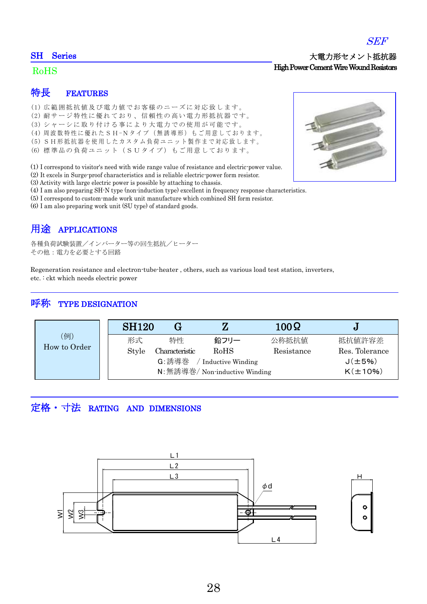#### SH Series

#### RoHS

## 特長 FEATURES

- (1) 広 範 囲抵 抗値 及び 電力 値で お 客様 のニ ーズ に対 応致 し ます 。
- (2) 耐サージ特性に優れており、信頼性の高い電力形抵抗器です。
- (3) シャーシに取り付ける事により大電力での使用が可能です。
- (4) 周波数特性に優れた SH-N タイプ (無誘導形) もご用意しております。
- (5) SH形抵抗器を使用したカスタム負荷ユニット製作まで対応致します。
- (6) 標 準 品の 負荷 ユニ ット (S U タイ プ) もご 用意 して お りま す。

(1) I correspond to visitor's need with wide range value of resistance and electric-power value.

- (2) It excels in Surge-proof characteristics and is reliable electric-power form resistor.
- (3) Activity with large electric power is possible by attaching to chassis.
- (4) I am also preparing SH-N type (non-induction type) excellent in frequency response characteristics.
- (5) I correspond to custom-made work unit manufacture which combined SH form resistor.
- (6) I am also preparing work unit (SU type) of standard goods.

# 用途 APPLICATIONS

各種負荷試験装置/インバーター等の回生抵抗/ヒーター その他:電力を必要とする回路

Regeneration resistance and electron-tube-heater , others, such as various load test station, inverters, etc. : ckt which needs electric power

### 呼称 TYPE DESIGNATION

| (例)<br>How to Order | <b>SH120</b>                   |                |      | $100\Omega$ | ್ರ             |
|---------------------|--------------------------------|----------------|------|-------------|----------------|
|                     | 形式                             | 特性             | 鉛フリー | 公称抵抗值       | 抵抗值許容差         |
|                     | Style                          | Characteristic | RoHS | Resistance  | Res. Tolerance |
|                     | G: 誘導巻<br>Inductive Winding    |                |      |             | $J(\pm 5\%)$   |
|                     | N: 無誘導巻/ Non-inductive Winding |                |      |             | $K(\pm 10\%)$  |

### 定格・寸法 RATING AND DIMENSIONS







#### 大電力形セメント抵抗器 High Power Cement Wire Wound Resistors